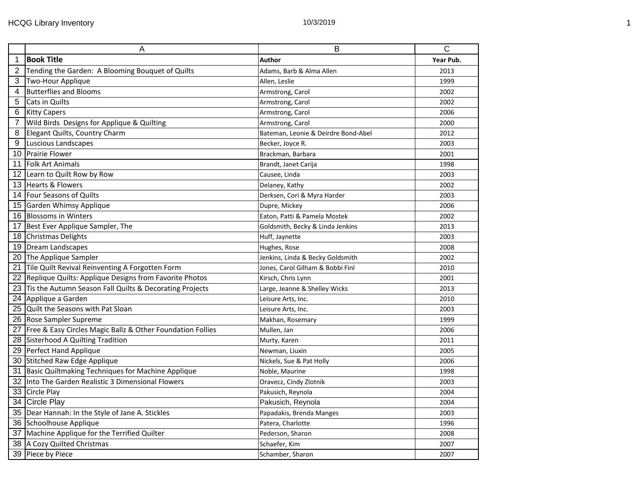|                         | $\overline{A}$                                                  | B                                   | $\overline{\mathsf{C}}$ |
|-------------------------|-----------------------------------------------------------------|-------------------------------------|-------------------------|
| $\mathbf 1$             | <b>Book Title</b>                                               | Author                              | Year Pub.               |
| $\overline{2}$          | Tending the Garden: A Blooming Bouquet of Quilts                | Adams, Barb & Alma Allen            | 2013                    |
| 3                       | Two-Hour Applique                                               | Allen, Leslie                       | 1999                    |
| 4                       | <b>Butterflies and Blooms</b>                                   | Armstrong, Carol                    | 2002                    |
| 5                       | Cats in Quilts                                                  | Armstrong, Carol                    | 2002                    |
| 6                       | <b>Kitty Capers</b>                                             | Armstrong, Carol                    | 2006                    |
| $\overline{7}$          | Wild Birds Designs for Applique & Quilting                      | Armstrong, Carol                    | 2000                    |
| $\overline{\mathbf{8}}$ | Elegant Quilts, Country Charm                                   | Bateman, Leonie & Deirdre Bond-Abel | 2012                    |
| 9                       | Luscious Landscapes                                             | Becker, Joyce R.                    | 2003                    |
|                         | 10 Prairie Flower                                               | Brackman, Barbara                   | 2001                    |
|                         | 11 Folk Art Animals                                             | Brandt, Janet Carija                | 1998                    |
|                         | 12 Learn to Quilt Row by Row                                    | Causee, Linda                       | 2003                    |
|                         | 13 Hearts & Flowers                                             | Delaney, Kathy                      | 2002                    |
|                         | 14 Four Seasons of Quilts                                       | Derksen, Cori & Myra Harder         | 2003                    |
|                         | 15 Garden Whimsy Applique                                       | Dupre, Mickey                       | 2006                    |
|                         | 16 Blossoms in Winters                                          | Eaton, Patti & Pamela Mostek        | 2002                    |
|                         | 17 Best Ever Applique Sampler, The                              | Goldsmith, Becky & Linda Jenkins    | 2013                    |
|                         | 18 Christmas Delights                                           | Huff, Jaynette                      | 2003                    |
|                         | 19 Dream Landscapes                                             | Hughes, Rose                        | 2008                    |
|                         | 20 The Applique Sampler                                         | Jenkins, Linda & Becky Goldsmith    | 2002                    |
|                         | 21 Tile Quilt Revival Reinventing A Forgotten Form              | Jones, Carol Gilham & Bobbi Finl    | 2010                    |
|                         | 22 Replique Quilts: Applique Designs from Favorite Photos       | Kirsch, Chris Lynn                  | 2001                    |
|                         | 23 Tis the Autumn Season Fall Quilts & Decorating Projects      | Large, Jeanne & Shelley Wicks       | 2013                    |
|                         | 24 Applique a Garden                                            | Leisure Arts, Inc.                  | 2010                    |
|                         | 25 Quilt the Seasons with Pat Sloan                             | Leisure Arts, Inc.                  | 2003                    |
|                         | 26 Rose Sampler Supreme                                         | Makhan, Rosemary                    | 1999                    |
|                         | 27   Free & Easy Circles Magic Ballz & Other Foundation Follies | Mullen, Jan                         | 2006                    |
|                         | 28 Sisterhood A Quilting Tradition                              | Murty, Karen                        | 2011                    |
|                         | 29 Perfect Hand Applique                                        | Newman, Liuxin                      | 2005                    |
|                         | 30 Stitched Raw Edge Applique                                   | Nickels, Sue & Pat Holly            | 2006                    |
|                         | 31 Basic Quiltmaking Techniques for Machine Applique            | Noble, Maurine                      | 1998                    |
|                         | 32 Into The Garden Realistic 3 Dimensional Flowers              | Oravecz, Cindy Zlotnik              | 2003                    |
|                         | 33 Circle Play                                                  | Pakusich, Reynola                   | 2004                    |
|                         | 34 Circle Play                                                  | Pakusich, Reynola                   | 2004                    |
|                         | 35 Dear Hannah: In the Style of Jane A. Stickles                | Papadakis, Brenda Manges            | 2003                    |
|                         | 36 Schoolhouse Applique                                         | Patera, Charlotte                   | 1996                    |
|                         | 37 Machine Applique for the Terrified Quilter                   | Pederson, Sharon                    | 2008                    |
|                         | 38 A Cozy Quilted Christmas                                     | Schaefer, Kim                       | 2007                    |
|                         | 39 Piece by Piece                                               | Schamber, Sharon                    | 2007                    |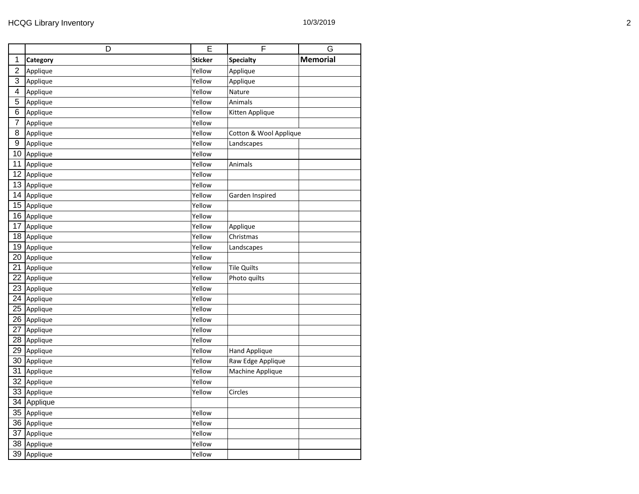|                 | D        | E              | $\overline{\mathsf{F}}$ | G               |
|-----------------|----------|----------------|-------------------------|-----------------|
| 1               | Category | <b>Sticker</b> | <b>Specialty</b>        | <b>Memorial</b> |
| $\overline{2}$  | Applique | Yellow         | Applique                |                 |
| $\overline{3}$  | Applique | Yellow         | Applique                |                 |
| $\overline{4}$  | Applique | Yellow         | Nature                  |                 |
| 5               | Applique | Yellow         | Animals                 |                 |
| 6               | Applique | Yellow         | Kitten Applique         |                 |
| $\overline{7}$  | Applique | Yellow         |                         |                 |
| $\overline{8}$  | Applique | Yellow         | Cotton & Wool Applique  |                 |
| 9               | Applique | Yellow         | Landscapes              |                 |
| 10              | Applique | Yellow         |                         |                 |
| 11              | Applique | Yellow         | Animals                 |                 |
| $\overline{12}$ | Applique | Yellow         |                         |                 |
| 13              | Applique | Yellow         |                         |                 |
| 14              | Applique | Yellow         | Garden Inspired         |                 |
| 15              | Applique | Yellow         |                         |                 |
| 16              | Applique | Yellow         |                         |                 |
| 17              | Applique | Yellow         | Applique                |                 |
| 18              | Applique | Yellow         | Christmas               |                 |
| 19              | Applique | Yellow         | Landscapes              |                 |
| 20              | Applique | Yellow         |                         |                 |
| 21              | Applique | Yellow         | <b>Tile Quilts</b>      |                 |
| 22              | Applique | Yellow         | Photo quilts            |                 |
| 23              | Applique | Yellow         |                         |                 |
| 24              | Applique | Yellow         |                         |                 |
| 25              | Applique | Yellow         |                         |                 |
| 26              | Applique | Yellow         |                         |                 |
| 27              | Applique | Yellow         |                         |                 |
| $\overline{28}$ | Applique | Yellow         |                         |                 |
| 29              | Applique | Yellow         | <b>Hand Applique</b>    |                 |
| 30              | Applique | Yellow         | Raw Edge Applique       |                 |
| 31              | Applique | Yellow         | Machine Applique        |                 |
| 32              | Applique | Yellow         |                         |                 |
| 33              | Applique | Yellow         | Circles                 |                 |
| 34              | Applique |                |                         |                 |
| 35              | Applique | Yellow         |                         |                 |
| 36              | Applique | Yellow         |                         |                 |
| 37              | Applique | Yellow         |                         |                 |
| 38              | Applique | Yellow         |                         |                 |
| 39              | Applique | Yellow         |                         |                 |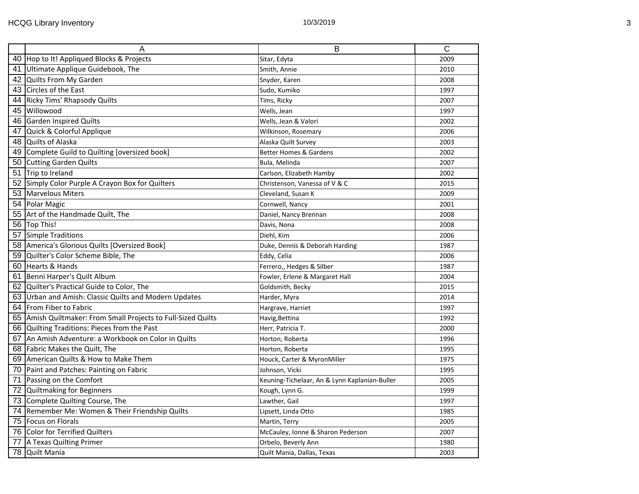|    | A                                                             | B                                             | $\overline{C}$ |
|----|---------------------------------------------------------------|-----------------------------------------------|----------------|
|    | 40 Hop to It! Appliqued Blocks & Projects                     | Sitar, Edyta                                  | 2009           |
|    | 41 Ultimate Applique Guidebook, The                           | Smith, Annie                                  | 2010           |
|    | 42 Quilts From My Garden                                      | Snyder, Karen                                 | 2008           |
|    | 43 Circles of the East                                        | Sudo, Kumiko                                  | 1997           |
| 44 | Ricky Tims' Rhapsody Quilts                                   | Tims, Ricky                                   | 2007           |
| 45 | Willowood                                                     | Wells, Jean                                   | 1997           |
|    | 46 Garden Inspired Quilts                                     | Wells, Jean & Valori                          | 2002           |
|    | 47 Quick & Colorful Applique                                  | Wilkinson, Rosemary                           | 2006           |
|    | 48 Quilts of Alaska                                           | Alaska Quilt Survey                           | 2003           |
|    | 49 Complete Guild to Quilting [oversized book]                | <b>Better Homes &amp; Gardens</b>             | 2002           |
|    | 50 Cutting Garden Quilts                                      | Bula, Melinda                                 | 2007           |
|    | 51 Trip to Ireland                                            | Carlson, Elizabeth Hamby                      | 2002           |
|    | 52 Simply Color Purple A Crayon Box for Quilters              | Christenson, Vanessa of V & C                 | 2015           |
|    | 53   Marvelous Miters                                         | Cleveland, Susan K                            | 2009           |
|    | 54 Polar Magic                                                | Cornwell, Nancy                               | 2001           |
|    | 55 Art of the Handmade Quilt, The                             | Daniel, Nancy Brennan                         | 2008           |
|    | 56 Top This!                                                  | Davis, Nona                                   | 2008           |
|    | 57 Simple Traditions                                          | Diehl, Kim                                    | 2006           |
|    | 58 America's Glorious Quilts [Oversized Book]                 | Duke, Dennis & Deborah Harding                | 1987           |
|    | 59 Quilter's Color Scheme Bible, The                          | Eddy, Celia                                   | 2006           |
|    | 60 Hearts & Hands                                             | Ferrero,, Hedges & Silber                     | 1987           |
|    | 61 Benni Harper's Quilt Album                                 | Fowler, Erlene & Margaret Hall                | 2004           |
|    | 62 Quilter's Practical Guide to Color, The                    | Goldsmith, Becky                              | 2015           |
|    | 63 Urban and Amish: Classic Quilts and Modern Updates         | Harder, Myra                                  | 2014           |
|    | 64   From Fiber to Fabric                                     | Hargrave, Harriet                             | 1997           |
|    | 65 Amish Quiltmaker: From Small Projects to Full-Sized Quilts | Havig, Bettina                                | 1992           |
|    | 66 Quilting Traditions: Pieces from the Past                  | Herr, Patricia T.                             | 2000           |
|    | 67 An Amish Adventure: a Workbook on Color in Quilts          | Horton, Roberta                               | 1996           |
|    | 68 Fabric Makes the Quilt, The                                | Horton, Roberta                               | 1995           |
|    | 69 American Quilts & How to Make Them                         | Houck, Carter & MyronMiller                   | 1975           |
|    | 70 Paint and Patches: Painting on Fabric                      | Johnson, Vicki                                | 1995           |
|    | 71 Passing on the Comfort                                     | Keuning-Tichelaar, An & Lynn Kaplanian-Buller | 2005           |
|    | 72 Quiltmaking for Beginners                                  | Kough, Lynn G.                                | 1999           |
|    | 73 Complete Quilting Course, The                              | Lawther, Gail                                 | 1997           |
|    | 74 Remember Me: Women & Their Friendship Quilts               | Lipsett, Linda Otto                           | 1985           |
|    | 75 Focus on Florals                                           | Martin, Terry                                 | 2005           |
|    | 76 Color for Terrified Quilters                               | McCauley, Ionne & Sharon Pederson             | 2007           |
|    | 77 A Texas Quilting Primer                                    | Orbelo, Beverly Ann                           | 1980           |
| 78 | <b>Quilt Mania</b>                                            | Quilt Mania, Dallas, Texas                    | 2003           |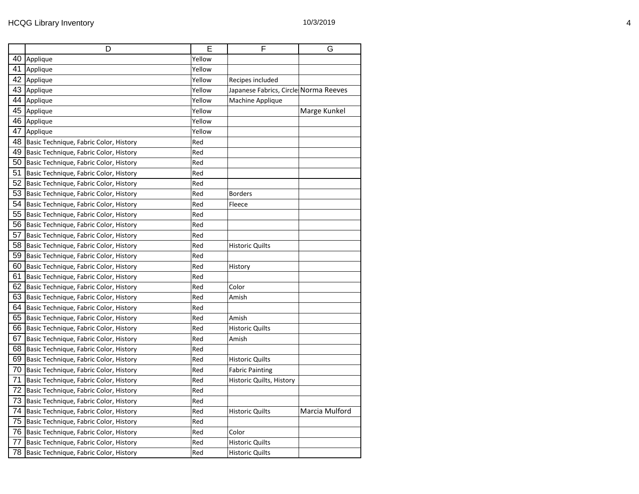|  |  |  |  | 10/3/2019 |  |
|--|--|--|--|-----------|--|
|--|--|--|--|-----------|--|

|    | D                                      | Е      | F                                     | G              |
|----|----------------------------------------|--------|---------------------------------------|----------------|
| 40 | Applique                               | Yellow |                                       |                |
| 41 | Applique                               | Yellow |                                       |                |
| 42 | Applique                               | Yellow | Recipes included                      |                |
| 43 | Applique                               | Yellow | Japanese Fabrics, Circle Norma Reeves |                |
| 44 | Applique                               | Yellow | Machine Applique                      |                |
| 45 | Applique                               | Yellow |                                       | Marge Kunkel   |
| 46 | Applique                               | Yellow |                                       |                |
| 47 | Applique                               | Yellow |                                       |                |
| 48 | Basic Technique, Fabric Color, History | Red    |                                       |                |
| 49 | Basic Technique, Fabric Color, History | Red    |                                       |                |
| 50 | Basic Technique, Fabric Color, History | Red    |                                       |                |
| 51 | Basic Technique, Fabric Color, History | Red    |                                       |                |
| 52 | Basic Technique, Fabric Color, History | Red    |                                       |                |
| 53 | Basic Technique, Fabric Color, History | Red    | <b>Borders</b>                        |                |
| 54 | Basic Technique, Fabric Color, History | Red    | Fleece                                |                |
| 55 | Basic Technique, Fabric Color, History | Red    |                                       |                |
| 56 | Basic Technique, Fabric Color, History | Red    |                                       |                |
| 57 | Basic Technique, Fabric Color, History | Red    |                                       |                |
| 58 | Basic Technique, Fabric Color, History | Red    | <b>Historic Quilts</b>                |                |
| 59 | Basic Technique, Fabric Color, History | Red    |                                       |                |
| 60 | Basic Technique, Fabric Color, History | Red    | History                               |                |
| 61 | Basic Technique, Fabric Color, History | Red    |                                       |                |
| 62 | Basic Technique, Fabric Color, History | Red    | Color                                 |                |
| 63 | Basic Technique, Fabric Color, History | Red    | Amish                                 |                |
| 64 | Basic Technique, Fabric Color, History | Red    |                                       |                |
| 65 | Basic Technique, Fabric Color, History | Red    | Amish                                 |                |
| 66 | Basic Technique, Fabric Color, History | Red    | <b>Historic Quilts</b>                |                |
| 67 | Basic Technique, Fabric Color, History | Red    | Amish                                 |                |
| 68 | Basic Technique, Fabric Color, History | Red    |                                       |                |
| 69 | Basic Technique, Fabric Color, History | Red    | <b>Historic Quilts</b>                |                |
| 70 | Basic Technique, Fabric Color, History | Red    | <b>Fabric Painting</b>                |                |
| 71 | Basic Technique, Fabric Color, History | Red    | Historic Quilts, History              |                |
| 72 | Basic Technique, Fabric Color, History | Red    |                                       |                |
| 73 | Basic Technique, Fabric Color, History | Red    |                                       |                |
| 74 | Basic Technique, Fabric Color, History | Red    | <b>Historic Quilts</b>                | Marcia Mulford |
| 75 | Basic Technique, Fabric Color, History | Red    |                                       |                |
| 76 | Basic Technique, Fabric Color, History | Red    | Color                                 |                |
| 77 | Basic Technique, Fabric Color, History | Red    | <b>Historic Quilts</b>                |                |
| 78 | Basic Technique, Fabric Color, History | Red    | <b>Historic Quilts</b>                |                |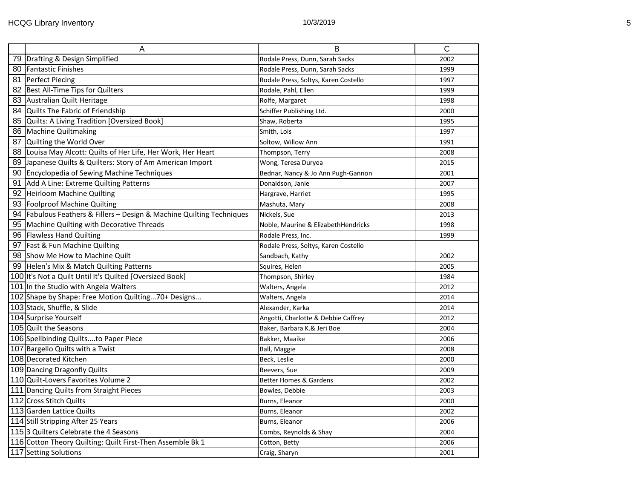| A                                                                       | B                                    | $\overline{\text{c}}$ |
|-------------------------------------------------------------------------|--------------------------------------|-----------------------|
| 79 Drafting & Design Simplified                                         | Rodale Press, Dunn, Sarah Sacks      | 2002                  |
| 80 Fantastic Finishes                                                   | Rodale Press, Dunn, Sarah Sacks      | 1999                  |
| 81 Perfect Piecing                                                      | Rodale Press, Soltys, Karen Costello | 1997                  |
| 82 Best All-Time Tips for Quilters                                      | Rodale, Pahl, Ellen                  | 1999                  |
| 83 Australian Quilt Heritage                                            | Rolfe, Margaret                      | 1998                  |
| 84 Quilts The Fabric of Friendship                                      | Schiffer Publishing Ltd.             | 2000                  |
| 85 Quilts: A Living Tradition [Oversized Book]                          | Shaw, Roberta                        | 1995                  |
| 86 Machine Quiltmaking                                                  | Smith, Lois                          | 1997                  |
| 87 Quilting the World Over                                              | Soltow, Willow Ann                   | 1991                  |
| 88 Louisa May Alcott: Quilts of Her Life, Her Work, Her Heart           | Thompson, Terry                      | 2008                  |
| 89 Japanese Quilts & Quilters: Story of Am American Import              | Wong, Teresa Duryea                  | 2015                  |
| 90 Encyclopedia of Sewing Machine Techniques                            | Bednar, Nancy & Jo Ann Pugh-Gannon   | 2001                  |
| 91 Add A Line: Extreme Quilting Patterns                                | Donaldson, Janie                     | 2007                  |
| 92 Heirloom Machine Quilting                                            | Hargrave, Harriet                    | 1995                  |
| 93 Foolproof Machine Quilting                                           | Mashuta, Mary                        | 2008                  |
| 94   Fabulous Feathers & Fillers - Design & Machine Quilting Techniques | Nickels, Sue                         | 2013                  |
| 95 Machine Quilting with Decorative Threads                             | Noble, Maurine & ElizabethHendricks  | 1998                  |
| 96 Flawless Hand Quilting                                               | Rodale Press, Inc.                   | 1999                  |
| 97 Fast & Fun Machine Quilting                                          | Rodale Press, Soltys, Karen Costello |                       |
| 98 Show Me How to Machine Quilt                                         | Sandbach, Kathy                      | 2002                  |
| 99 Helen's Mix & Match Quilting Patterns                                | Squires, Helen                       | 2005                  |
| 100 It's Not a Quilt Until It's Quilted [Oversized Book]                | Thompson, Shirley                    | 1984                  |
| 101 In the Studio with Angela Walters                                   | Walters, Angela                      | 2012                  |
| 102 Shape by Shape: Free Motion Quilting70+ Designs                     | Walters, Angela                      | 2014                  |
| 103 Stack, Shuffle, & Slide                                             | Alexander, Karka                     | 2014                  |
| 104 Surprise Yourself                                                   | Angotti, Charlotte & Debbie Caffrey  | 2012                  |
| 105 Quilt the Seasons                                                   | Baker, Barbara K.& Jeri Boe          | 2004                  |
| 106 Spellbinding Quiltsto Paper Piece                                   | Bakker, Maaike                       | 2006                  |
| 107 Bargello Quilts with a Twist                                        | Ball, Maggie                         | 2008                  |
| 108 Decorated Kitchen                                                   | Beck, Leslie                         | 2000                  |
| 109 Dancing Dragonfly Quilts                                            | Beevers, Sue                         | 2009                  |
| 110 Quilt-Lovers Favorites Volume 2                                     | <b>Better Homes &amp; Gardens</b>    | 2002                  |
| 111 Dancing Quilts from Straight Pieces                                 | Bowles, Debbie                       | 2003                  |
| 112 Cross Stitch Quilts                                                 | Burns, Eleanor                       | 2000                  |
| 113 Garden Lattice Quilts                                               | Burns, Eleanor                       | 2002                  |
| 114 Still Stripping After 25 Years                                      | Burns, Eleanor                       | 2006                  |
| 1153 Quilters Celebrate the 4 Seasons                                   | Combs, Reynolds & Shay               | 2004                  |
| 116 Cotton Theory Quilting: Quilt First-Then Assemble Bk 1              | Cotton, Betty                        | 2006                  |
| 117 Setting Solutions                                                   | Craig, Sharyn                        | 2001                  |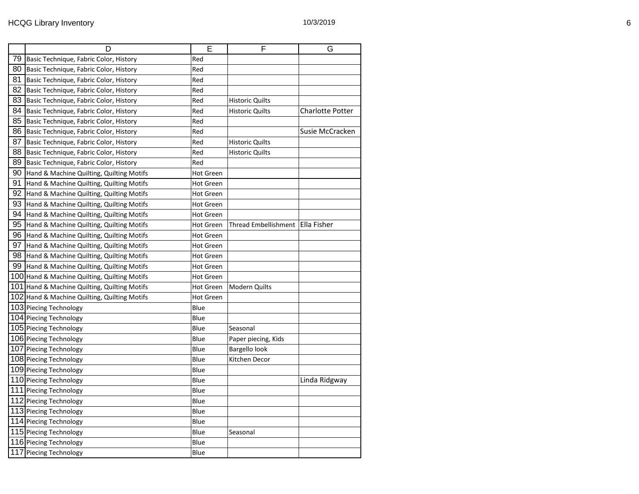|    | D                                            | Е                | F                      | G                       |
|----|----------------------------------------------|------------------|------------------------|-------------------------|
| 79 | Basic Technique, Fabric Color, History       | Red              |                        |                         |
| 80 | Basic Technique, Fabric Color, History       | Red              |                        |                         |
| 81 | Basic Technique, Fabric Color, History       | Red              |                        |                         |
| 82 | Basic Technique, Fabric Color, History       | Red              |                        |                         |
| 83 | Basic Technique, Fabric Color, History       | Red              | Historic Quilts        |                         |
| 84 | Basic Technique, Fabric Color, History       | Red              | <b>Historic Quilts</b> | <b>Charlotte Potter</b> |
| 85 | Basic Technique, Fabric Color, History       | Red              |                        |                         |
| 86 | Basic Technique, Fabric Color, History       | Red              |                        | Susie McCracken         |
| 87 | Basic Technique, Fabric Color, History       | Red              | <b>Historic Quilts</b> |                         |
| 88 | Basic Technique, Fabric Color, History       | Red              | Historic Quilts        |                         |
| 89 | Basic Technique, Fabric Color, History       | Red              |                        |                         |
| 90 | Hand & Machine Quilting, Quilting Motifs     | <b>Hot Green</b> |                        |                         |
| 91 | Hand & Machine Quilting, Quilting Motifs     | <b>Hot Green</b> |                        |                         |
| 92 | Hand & Machine Quilting, Quilting Motifs     | <b>Hot Green</b> |                        |                         |
| 93 | Hand & Machine Quilting, Quilting Motifs     | <b>Hot Green</b> |                        |                         |
| 94 | Hand & Machine Quilting, Quilting Motifs     | <b>Hot Green</b> |                        |                         |
| 95 | Hand & Machine Quilting, Quilting Motifs     | Hot Green        | Thread Embellishment   | Ella Fisher             |
| 96 | Hand & Machine Quilting, Quilting Motifs     | <b>Hot Green</b> |                        |                         |
| 97 | Hand & Machine Quilting, Quilting Motifs     | <b>Hot Green</b> |                        |                         |
|    | 98 Hand & Machine Quilting, Quilting Motifs  | <b>Hot Green</b> |                        |                         |
| 99 | Hand & Machine Quilting, Quilting Motifs     | <b>Hot Green</b> |                        |                         |
|    | 100 Hand & Machine Quilting, Quilting Motifs | <b>Hot Green</b> |                        |                         |
|    | 101 Hand & Machine Quilting, Quilting Motifs | Hot Green        | Modern Quilts          |                         |
|    | 102 Hand & Machine Quilting, Quilting Motifs | <b>Hot Green</b> |                        |                         |
|    | 103 Piecing Technology                       | Blue             |                        |                         |
|    | 104 Piecing Technology                       | Blue             |                        |                         |
|    | 105 Piecing Technology                       | Blue             | Seasonal               |                         |
|    | 106 Piecing Technology                       | Blue             | Paper piecing, Kids    |                         |
|    | 107 Piecing Technology                       | Blue             | Bargello look          |                         |
|    | 108 Piecing Technology                       | Blue             | Kitchen Decor          |                         |
|    | 109 Piecing Technology                       | Blue             |                        |                         |
|    | 110 Piecing Technology                       | Blue             |                        | Linda Ridgway           |
|    | 111 Piecing Technology                       | Blue             |                        |                         |
|    | 112 Piecing Technology                       | Blue             |                        |                         |
|    | 113 Piecing Technology                       | Blue             |                        |                         |
|    | 114 Piecing Technology                       | Blue             |                        |                         |
|    | 115 Piecing Technology                       | Blue             | Seasonal               |                         |
|    | 116 Piecing Technology                       | Blue             |                        |                         |
|    | 117 Piecing Technology                       | Blue             |                        |                         |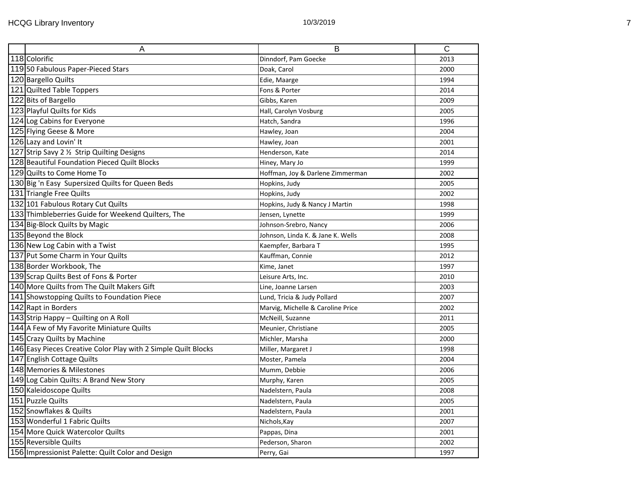| A                                                              | B                                 | $\overline{C}$ |
|----------------------------------------------------------------|-----------------------------------|----------------|
| 118 Colorific                                                  | Dinndorf, Pam Goecke              | 2013           |
| 11950 Fabulous Paper-Pieced Stars                              | Doak, Carol                       | 2000           |
| 120 Bargello Quilts                                            | Edie, Maarge                      | 1994           |
| 121 Quilted Table Toppers                                      | Fons & Porter                     | 2014           |
| 122 Bits of Bargello                                           | Gibbs, Karen                      | 2009           |
| 123 Playful Quilts for Kids                                    | Hall, Carolyn Vosburg             | 2005           |
| 124 Log Cabins for Everyone                                    | Hatch, Sandra                     | 1996           |
| 125 Flying Geese & More                                        | Hawley, Joan                      | 2004           |
| 126 Lazy and Lovin' It                                         | Hawley, Joan                      | 2001           |
| 127 Strip Savy 2 1/2 Strip Quilting Designs                    | Henderson, Kate                   | 2014           |
| 128 Beautiful Foundation Pieced Quilt Blocks                   | Hiney, Mary Jo                    | 1999           |
| 129 Quilts to Come Home To                                     | Hoffman, Joy & Darlene Zimmerman  | 2002           |
| 130 Big 'n Easy Supersized Quilts for Queen Beds               | Hopkins, Judy                     | 2005           |
| 131 Triangle Free Quilts                                       | Hopkins, Judy                     | 2002           |
| 132 101 Fabulous Rotary Cut Quilts                             | Hopkins, Judy & Nancy J Martin    | 1998           |
| 133 Thimbleberries Guide for Weekend Quilters, The             | Jensen, Lynette                   | 1999           |
| 134 Big-Block Quilts by Magic                                  | Johnson-Srebro, Nancy             | 2006           |
| 135 Beyond the Block                                           | Johnson, Linda K. & Jane K. Wells | 2008           |
| 136 New Log Cabin with a Twist                                 | Kaempfer, Barbara T               | 1995           |
| 137 Put Some Charm in Your Quilts                              | Kauffman, Connie                  | 2012           |
| 138 Border Workbook, The                                       | Kime, Janet                       | 1997           |
| 139 Scrap Quilts Best of Fons & Porter                         | Leisure Arts, Inc.                | 2010           |
| 140 More Quilts from The Quilt Makers Gift                     | Line, Joanne Larsen               | 2003           |
| 141 Showstopping Quilts to Foundation Piece                    | Lund, Tricia & Judy Pollard       | 2007           |
| 142 Rapt in Borders                                            | Marvig, Michelle & Caroline Price | 2002           |
| 143 Strip Happy - Quilting on A Roll                           | McNeill, Suzanne                  | 2011           |
| 144 A Few of My Favorite Miniature Quilts                      | Meunier, Christiane               | 2005           |
| 145 Crazy Quilts by Machine                                    | Michler, Marsha                   | 2000           |
| 146 Easy Pieces Creative Color Play with 2 Simple Quilt Blocks | Miller, Margaret J                | 1998           |
| 147 English Cottage Quilts                                     | Moster, Pamela                    | 2004           |
| 148 Memories & Milestones                                      | Mumm, Debbie                      | 2006           |
| 149 Log Cabin Quilts: A Brand New Story                        | Murphy, Karen                     | 2005           |
| 150 Kaleidoscope Quilts                                        | Nadelstern, Paula                 | 2008           |
| 151 Puzzle Quilts                                              | Nadelstern, Paula                 | 2005           |
| 152 Snowflakes & Quilts                                        | Nadelstern, Paula                 | 2001           |
| 153 Wonderful 1 Fabric Quilts                                  | Nichols, Kay                      | 2007           |
| 154 More Quick Watercolor Quilts                               | Pappas, Dina                      | 2001           |
| 155 Reversible Quilts                                          | Pederson, Sharon                  | 2002           |
| 156 Impressionist Palette: Quilt Color and Design              | Perry, Gai                        | 1997           |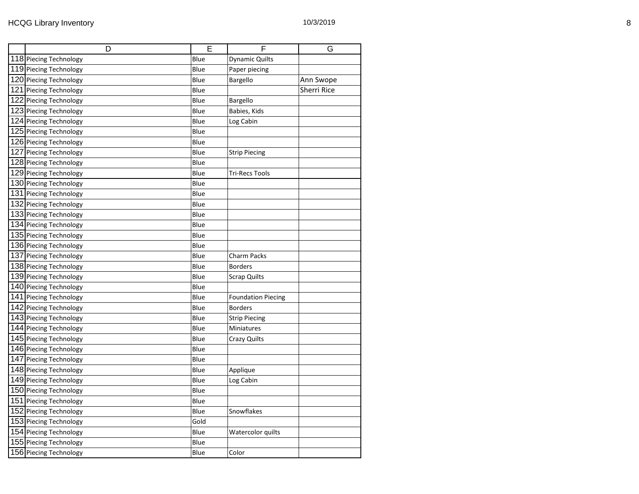|     | D                      | E    | F                         | G           |
|-----|------------------------|------|---------------------------|-------------|
|     | 118 Piecing Technology | Blue | <b>Dynamic Quilts</b>     |             |
|     | 119 Piecing Technology | Blue | Paper piecing             |             |
|     | 120 Piecing Technology | Blue | Bargello                  | Ann Swope   |
|     | 121 Piecing Technology | Blue |                           | Sherri Rice |
|     | 122 Piecing Technology | Blue | Bargello                  |             |
|     | 123 Piecing Technology | Blue | Babies, Kids              |             |
|     | 124 Piecing Technology | Blue | Log Cabin                 |             |
|     | 125 Piecing Technology | Blue |                           |             |
|     | 126 Piecing Technology | Blue |                           |             |
|     | 127 Piecing Technology | Blue | <b>Strip Piecing</b>      |             |
|     | 128 Piecing Technology | Blue |                           |             |
|     | 129 Piecing Technology | Blue | <b>Tri-Recs Tools</b>     |             |
|     | 130 Piecing Technology | Blue |                           |             |
|     | 131 Piecing Technology | Blue |                           |             |
|     | 132 Piecing Technology | Blue |                           |             |
|     | 133 Piecing Technology | Blue |                           |             |
|     | 134 Piecing Technology | Blue |                           |             |
|     | 135 Piecing Technology | Blue |                           |             |
|     | 136 Piecing Technology | Blue |                           |             |
|     | 137 Piecing Technology | Blue | <b>Charm Packs</b>        |             |
|     | 138 Piecing Technology | Blue | <b>Borders</b>            |             |
|     | 139 Piecing Technology | Blue | <b>Scrap Quilts</b>       |             |
|     | 140 Piecing Technology | Blue |                           |             |
|     | 141 Piecing Technology | Blue | <b>Foundation Piecing</b> |             |
|     | 142 Piecing Technology | Blue | <b>Borders</b>            |             |
|     | 143 Piecing Technology | Blue | <b>Strip Piecing</b>      |             |
|     | 144 Piecing Technology | Blue | Miniatures                |             |
|     | 145 Piecing Technology | Blue | <b>Crazy Quilts</b>       |             |
|     | 146 Piecing Technology | Blue |                           |             |
|     | 147 Piecing Technology | Blue |                           |             |
|     | 148 Piecing Technology | Blue | Applique                  |             |
|     | 149 Piecing Technology | Blue | Log Cabin                 |             |
|     | 150 Piecing Technology | Blue |                           |             |
| 151 | Piecing Technology     | Blue |                           |             |
|     | 152 Piecing Technology | Blue | Snowflakes                |             |
|     | 153 Piecing Technology | Gold |                           |             |
|     | 154 Piecing Technology | Blue | Watercolor quilts         |             |
|     | 155 Piecing Technology | Blue |                           |             |
|     | 156 Piecing Technology | Blue | Color                     |             |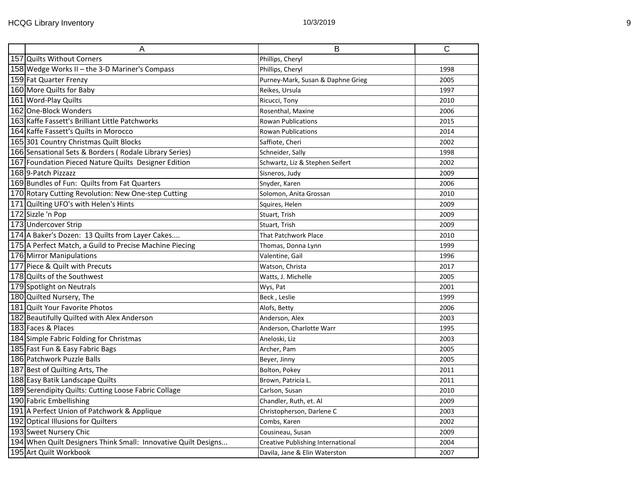| $\overline{A}$                                                 | B                                 | $\overline{\text{c}}$ |
|----------------------------------------------------------------|-----------------------------------|-----------------------|
| 157 Quilts Without Corners                                     | Phillips, Cheryl                  |                       |
| 158 Wedge Works II - the 3-D Mariner's Compass                 | Phillips, Cheryl                  | 1998                  |
| 159 Fat Quarter Frenzy                                         | Purney-Mark, Susan & Daphne Grieg | 2005                  |
| 160 More Quilts for Baby                                       | Reikes, Ursula                    | 1997                  |
| 161 Word-Play Quilts                                           | Ricucci, Tony                     | 2010                  |
| 162 One-Block Wonders                                          | Rosenthal, Maxine                 | 2006                  |
| 163 Kaffe Fassett's Brilliant Little Patchworks                | <b>Rowan Publications</b>         | 2015                  |
| 164 Kaffe Fassett's Quilts in Morocco                          | <b>Rowan Publications</b>         | 2014                  |
| 165 301 Country Christmas Quilt Blocks                         | Saffiote, Cheri                   | 2002                  |
| 166 Sensational Sets & Borders (Rodale Library Series)         | Schneider, Sally                  | 1998                  |
| 167 Foundation Pieced Nature Quilts Designer Edition           | Schwartz, Liz & Stephen Seifert   | 2002                  |
| 168 9-Patch Pizzazz                                            | Sisneros, Judy                    | 2009                  |
| 169 Bundles of Fun: Quilts from Fat Quarters                   | Snyder, Karen                     | 2006                  |
| 170 Rotary Cutting Revolution: New One-step Cutting            | Solomon, Anita Grossan            | 2010                  |
| 171 Quilting UFO's with Helen's Hints                          | Squires, Helen                    | 2009                  |
| 172 Sizzle 'n Pop                                              | Stuart, Trish                     | 2009                  |
| 173 Undercover Strip                                           | Stuart, Trish                     | 2009                  |
| 174 A Baker's Dozen: 13 Quilts from Layer Cakes                | <b>That Patchwork Place</b>       | 2010                  |
| 175 A Perfect Match, a Guild to Precise Machine Piecing        | Thomas, Donna Lynn                | 1999                  |
| 176 Mirror Manipulations                                       | Valentine, Gail                   | 1996                  |
| 177 Piece & Quilt with Precuts                                 | Watson, Christa                   | 2017                  |
| 178 Quilts of the Southwest                                    | Watts, J. Michelle                | 2005                  |
| 179 Spotlight on Neutrals                                      | Wys, Pat                          | 2001                  |
| 180 Quilted Nursery, The                                       | Beck, Leslie                      | 1999                  |
| 181 Quilt Your Favorite Photos                                 | Alofs, Betty                      | 2006                  |
| 182 Beautifully Quilted with Alex Anderson                     | Anderson, Alex                    | 2003                  |
| 183 Faces & Places                                             | Anderson, Charlotte Warr          | 1995                  |
| 184 Simple Fabric Folding for Christmas                        | Aneloski, Liz                     | 2003                  |
| 185 Fast Fun & Easy Fabric Bags                                | Archer, Pam                       | 2005                  |
| 186 Patchwork Puzzle Balls                                     | Beyer, Jinny                      | 2005                  |
| 187 Best of Quilting Arts, The                                 | Bolton, Pokey                     | 2011                  |
| 188 Easy Batik Landscape Quilts                                | Brown, Patricia L.                | 2011                  |
| 189 Serendipity Quilts: Cutting Loose Fabric Collage           | Carlson, Susan                    | 2010                  |
| 190 Fabric Embellishing                                        | Chandler, Ruth, et. Al            | 2009                  |
| 191 A Perfect Union of Patchwork & Applique                    | Christopherson, Darlene C         | 2003                  |
| 192 Optical Illusions for Quilters                             | Combs, Karen                      | 2002                  |
| 193 Sweet Nursery Chic                                         | Cousineau, Susan                  | 2009                  |
| 194 When Quilt Designers Think Small: Innovative Quilt Designs | Creative Publishing International | 2004                  |
| 195 Art Quilt Workbook                                         | Davila, Jane & Elin Waterston     | 2007                  |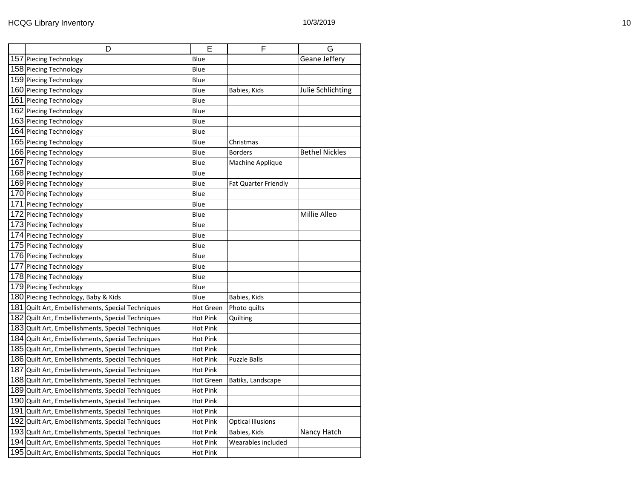|     | D                                                 | Е               | F                        | G                     |
|-----|---------------------------------------------------|-----------------|--------------------------|-----------------------|
| 157 | <b>Piecing Technology</b>                         | Blue            |                          | Geane Jeffery         |
|     | 158 Piecing Technology                            | Blue            |                          |                       |
|     | 159 Piecing Technology                            | Blue            |                          |                       |
|     | 160 Piecing Technology                            | Blue            | Babies, Kids             | Julie Schlichting     |
| 161 | <b>Piecing Technology</b>                         | Blue            |                          |                       |
|     | 162 Piecing Technology                            | Blue            |                          |                       |
|     | 163 Piecing Technology                            | Blue            |                          |                       |
|     | 164 Piecing Technology                            | Blue            |                          |                       |
|     | 165 Piecing Technology                            | Blue            | Christmas                |                       |
|     | 166 Piecing Technology                            | Blue            | <b>Borders</b>           | <b>Bethel Nickles</b> |
|     | 167 Piecing Technology                            | Blue            | Machine Applique         |                       |
|     | 168 Piecing Technology                            | Blue            |                          |                       |
|     | 169 Piecing Technology                            | Blue            | Fat Quarter Friendly     |                       |
|     | 170 Piecing Technology                            | Blue            |                          |                       |
| 171 | <b>Piecing Technology</b>                         | Blue            |                          |                       |
|     | 172 Piecing Technology                            | Blue            |                          | Millie Alleo          |
|     | 173 Piecing Technology                            | Blue            |                          |                       |
|     | 174 Piecing Technology                            | Blue            |                          |                       |
|     | 175 Piecing Technology                            | Blue            |                          |                       |
|     | 176 Piecing Technology                            | Blue            |                          |                       |
| 177 | <b>Piecing Technology</b>                         | Blue            |                          |                       |
|     | 178 Piecing Technology                            | Blue            |                          |                       |
|     | 179 Piecing Technology                            | Blue            |                          |                       |
|     | 180 Piecing Technology, Baby & Kids               | Blue            | Babies, Kids             |                       |
| 181 | Quilt Art, Embellishments, Special Techniques     | Hot Green       | Photo quilts             |                       |
| 182 | Quilt Art, Embellishments, Special Techniques     | <b>Hot Pink</b> | Quilting                 |                       |
|     | 183 Quilt Art, Embellishments, Special Techniques | Hot Pink        |                          |                       |
|     | 184 Quilt Art, Embellishments, Special Techniques | <b>Hot Pink</b> |                          |                       |
|     | 185 Quilt Art, Embellishments, Special Techniques | Hot Pink        |                          |                       |
|     | 186 Quilt Art, Embellishments, Special Techniques | <b>Hot Pink</b> | <b>Puzzle Balls</b>      |                       |
| 187 | Quilt Art, Embellishments, Special Techniques     | Hot Pink        |                          |                       |
|     | 188 Quilt Art, Embellishments, Special Techniques | Hot Green       | Batiks, Landscape        |                       |
|     | 189 Quilt Art, Embellishments, Special Techniques | Hot Pink        |                          |                       |
|     | 190 Quilt Art, Embellishments, Special Techniques | Hot Pink        |                          |                       |
| 191 | Quilt Art, Embellishments, Special Techniques     | <b>Hot Pink</b> |                          |                       |
| 192 | Quilt Art, Embellishments, Special Techniques     | Hot Pink        | <b>Optical Illusions</b> |                       |
|     | 193 Quilt Art, Embellishments, Special Techniques | <b>Hot Pink</b> | Babies, Kids             | Nancy Hatch           |
|     | 194 Quilt Art, Embellishments, Special Techniques | <b>Hot Pink</b> | Wearables included       |                       |
|     | 195 Quilt Art, Embellishments, Special Techniques | <b>Hot Pink</b> |                          |                       |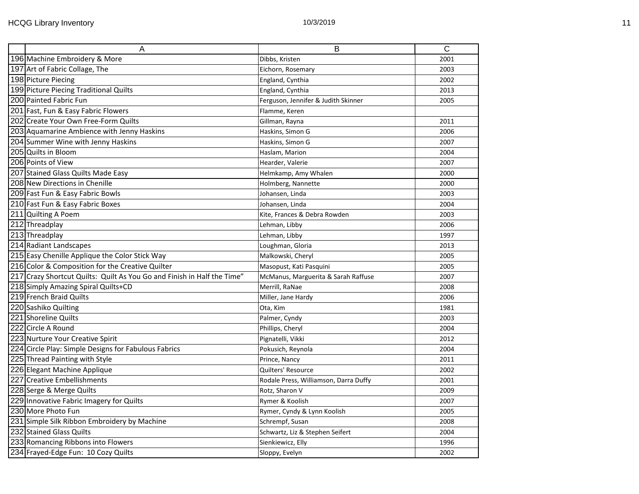| A                                                                       | B                                     | $\mathsf{C}$ |
|-------------------------------------------------------------------------|---------------------------------------|--------------|
| 196 Machine Embroidery & More                                           | Dibbs, Kristen                        | 2001         |
| 197 Art of Fabric Collage, The                                          | Eichorn, Rosemary                     | 2003         |
| 198 Picture Piecing                                                     | England, Cynthia                      | 2002         |
| 199 Picture Piecing Traditional Quilts                                  | England, Cynthia                      | 2013         |
| 200 Painted Fabric Fun                                                  | Ferguson, Jennifer & Judith Skinner   | 2005         |
| 201 Fast, Fun & Easy Fabric Flowers                                     | Flamme, Keren                         |              |
| 202 Create Your Own Free-Form Quilts                                    | Gillman, Rayna                        | 2011         |
| 203 Aquamarine Ambience with Jenny Haskins                              | Haskins, Simon G                      | 2006         |
| 204 Summer Wine with Jenny Haskins                                      | Haskins, Simon G                      | 2007         |
| 205 Quilts in Bloom                                                     | Haslam, Marion                        | 2004         |
| 206 Points of View                                                      | Hearder, Valerie                      | 2007         |
| 207 Stained Glass Quilts Made Easy                                      | Helmkamp, Amy Whalen                  | 2000         |
| 208 New Directions in Chenille                                          | Holmberg, Nannette                    | 2000         |
| 209 Fast Fun & Easy Fabric Bowls                                        | Johansen, Linda                       | 2003         |
| 210 Fast Fun & Easy Fabric Boxes                                        | Johansen, Linda                       | 2004         |
| 211 Quilting A Poem                                                     | Kite, Frances & Debra Rowden          | 2003         |
| 212 Threadplay                                                          | Lehman, Libby                         | 2006         |
| 213 Threadplay                                                          | Lehman, Libby                         | 1997         |
| 214 Radiant Landscapes                                                  | Loughman, Gloria                      | 2013         |
| 215 Easy Chenille Applique the Color Stick Way                          | Malkowski, Cheryl                     | 2005         |
| 216 Color & Composition for the Creative Quilter                        | Masopust, Kati Pasquini               | 2005         |
| 217 Crazy Shortcut Quilts: Quilt As You Go and Finish in Half the Time" | McManus, Marguerita & Sarah Raffuse   | 2007         |
| 218 Simply Amazing Spiral Quilts+CD                                     | Merrill, RaNae                        | 2008         |
| 219 French Braid Quilts                                                 | Miller, Jane Hardy                    | 2006         |
| 220 Sashiko Quilting                                                    | Ota, Kim                              | 1981         |
| 221 Shoreline Quilts                                                    | Palmer, Cyndy                         | 2003         |
| 222 Circle A Round                                                      | Phillips, Cheryl                      | 2004         |
| 223 Nurture Your Creative Spirit                                        | Pignatelli, Vikki                     | 2012         |
| 224 Circle Play: Simple Designs for Fabulous Fabrics                    | Pokusich, Reynola                     | 2004         |
| 225 Thread Painting with Style                                          | Prince, Nancy                         | 2011         |
| 226 Elegant Machine Applique                                            | Quilters' Resource                    | 2002         |
| 227 Creative Embellishments                                             | Rodale Press, Williamson, Darra Duffy | 2001         |
| 228 Serge & Merge Quilts                                                | Rotz, Sharon V                        | 2009         |
| 229 Innovative Fabric Imagery for Quilts                                | Rymer & Koolish                       | 2007         |
| 230 More Photo Fun                                                      | Rymer, Cyndy & Lynn Koolish           | 2005         |
| 231 Simple Silk Ribbon Embroidery by Machine                            | Schrempf, Susan                       | 2008         |
| 232 Stained Glass Quilts                                                | Schwartz, Liz & Stephen Seifert       | 2004         |
| 233 Romancing Ribbons into Flowers                                      | Sienkiewicz, Elly                     | 1996         |
| 234 Frayed-Edge Fun: 10 Cozy Quilts                                     | Sloppy, Evelyn                        | 2002         |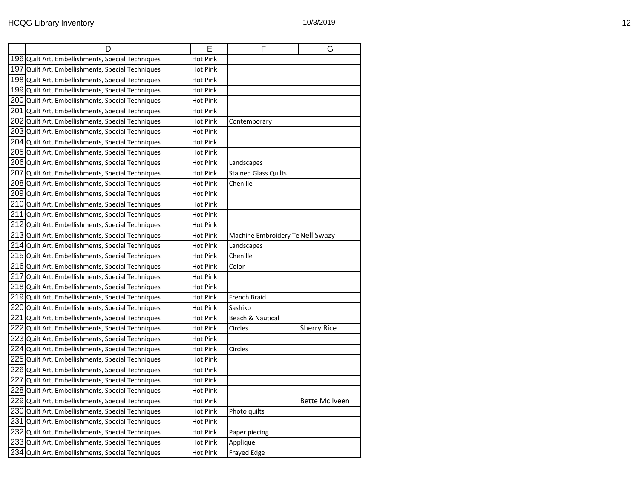|      | D                                                 | E               | F                                | G                  |
|------|---------------------------------------------------|-----------------|----------------------------------|--------------------|
|      | 196 Quilt Art, Embellishments, Special Techniques | <b>Hot Pink</b> |                                  |                    |
| 1971 | Quilt Art, Embellishments, Special Techniques     | <b>Hot Pink</b> |                                  |                    |
|      | 198 Quilt Art, Embellishments, Special Techniques | <b>Hot Pink</b> |                                  |                    |
|      | 199 Quilt Art, Embellishments, Special Techniques | <b>Hot Pink</b> |                                  |                    |
| 200  | Quilt Art, Embellishments, Special Techniques     | Hot Pink        |                                  |                    |
| 201  | Quilt Art, Embellishments, Special Techniques     | <b>Hot Pink</b> |                                  |                    |
| 202  | Quilt Art, Embellishments, Special Techniques     | <b>Hot Pink</b> | Contemporary                     |                    |
| 2031 | Quilt Art, Embellishments, Special Techniques     | Hot Pink        |                                  |                    |
|      | 204 Quilt Art, Embellishments, Special Techniques | Hot Pink        |                                  |                    |
|      | 205 Quilt Art, Embellishments, Special Techniques | <b>Hot Pink</b> |                                  |                    |
|      | 206 Quilt Art, Embellishments, Special Techniques | Hot Pink        | Landscapes                       |                    |
|      | 207 Quilt Art, Embellishments, Special Techniques | <b>Hot Pink</b> | <b>Stained Glass Quilts</b>      |                    |
|      | 208 Quilt Art, Embellishments, Special Techniques | Hot Pink        | Chenille                         |                    |
|      | 209 Quilt Art, Embellishments, Special Techniques | <b>Hot Pink</b> |                                  |                    |
|      | 210 Quilt Art, Embellishments, Special Techniques | <b>Hot Pink</b> |                                  |                    |
| 211  | Quilt Art, Embellishments, Special Techniques     | Hot Pink        |                                  |                    |
|      | 212 Quilt Art, Embellishments, Special Techniques | <b>Hot Pink</b> |                                  |                    |
| 213  | Quilt Art, Embellishments, Special Techniques     | <b>Hot Pink</b> | Machine Embroidery Te Nell Swazy |                    |
|      | 214 Quilt Art, Embellishments, Special Techniques | <b>Hot Pink</b> | Landscapes                       |                    |
|      | 215 Quilt Art, Embellishments, Special Techniques | Hot Pink        | Chenille                         |                    |
|      | 216 Quilt Art, Embellishments, Special Techniques | <b>Hot Pink</b> | Color                            |                    |
| 217  | Quilt Art, Embellishments, Special Techniques     | Hot Pink        |                                  |                    |
|      | 218 Quilt Art, Embellishments, Special Techniques | <b>Hot Pink</b> |                                  |                    |
| 219I | Quilt Art, Embellishments, Special Techniques     | Hot Pink        | French Braid                     |                    |
| 220  | Quilt Art, Embellishments, Special Techniques     | <b>Hot Pink</b> | Sashiko                          |                    |
| 221  | Quilt Art, Embellishments, Special Techniques     | <b>Hot Pink</b> | Beach & Nautical                 |                    |
| 222  | Quilt Art, Embellishments, Special Techniques     | Hot Pink        | Circles                          | <b>Sherry Rice</b> |
| 2231 | Quilt Art, Embellishments, Special Techniques     | Hot Pink        |                                  |                    |
| 224  | Quilt Art, Embellishments, Special Techniques     | <b>Hot Pink</b> | Circles                          |                    |
| 225  | Quilt Art, Embellishments, Special Techniques     | Hot Pink        |                                  |                    |
|      | 226 Quilt Art, Embellishments, Special Techniques | Hot Pink        |                                  |                    |
| 227  | Quilt Art, Embellishments, Special Techniques     | <b>Hot Pink</b> |                                  |                    |
| 228  | Quilt Art, Embellishments, Special Techniques     | Hot Pink        |                                  |                    |
| 229  | Quilt Art, Embellishments, Special Techniques     | <b>Hot Pink</b> |                                  | Bette McIlveen     |
| 230  | Quilt Art, Embellishments, Special Techniques     | <b>Hot Pink</b> | Photo quilts                     |                    |
| 231  | Quilt Art, Embellishments, Special Techniques     | <b>Hot Pink</b> |                                  |                    |
| 2321 | Quilt Art, Embellishments, Special Techniques     | <b>Hot Pink</b> | Paper piecing                    |                    |
|      | 233 Quilt Art, Embellishments, Special Techniques | <b>Hot Pink</b> | Applique                         |                    |
|      | 234 Quilt Art, Embellishments, Special Techniques | Hot Pink        | Frayed Edge                      |                    |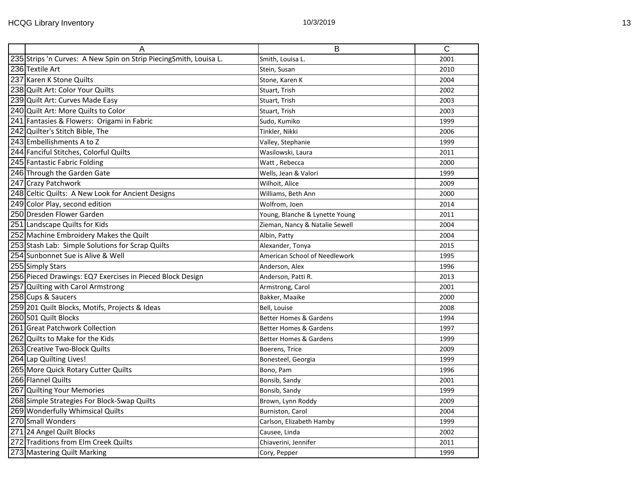|                                                   | A                                                                 | B                                 | $\overline{C}$ |
|---------------------------------------------------|-------------------------------------------------------------------|-----------------------------------|----------------|
|                                                   | 235 Strips 'n Curves: A New Spin on Strip PiecingSmith, Louisa L. | Smith, Louisa L.                  | 2001           |
| 236 Textile Art                                   |                                                                   | Stein, Susan                      | 2010           |
| 237 Karen K Stone Quilts                          |                                                                   | Stone, Karen K                    | 2004           |
| 238 Quilt Art: Color Your Quilts                  |                                                                   | Stuart, Trish                     | 2002           |
| 239 Quilt Art: Curves Made Easy                   |                                                                   | Stuart, Trish                     | 2003           |
| 240 Quilt Art: More Quilts to Color               |                                                                   | Stuart, Trish                     | 2003           |
| 241 Fantasies & Flowers: Origami in Fabric        |                                                                   | Sudo, Kumiko                      | 1999           |
| 242 Quilter's Stitch Bible, The                   |                                                                   | Tinkler, Nikki                    | 2006           |
| 243 Embellishments A to Z                         |                                                                   | Valley, Stephanie                 | 1999           |
| 244 Fanciful Stitches, Colorful Quilts            |                                                                   | Wasilowski, Laura                 | 2011           |
| 245 Fantastic Fabric Folding                      |                                                                   | Watt, Rebecca                     | 2000           |
| 246 Through the Garden Gate                       |                                                                   | Wells, Jean & Valori              | 1999           |
| 247 Crazy Patchwork                               |                                                                   | Wilhoit, Alice                    | 2009           |
| 248 Celtic Quilts: A New Look for Ancient Designs |                                                                   | Williams, Beth Ann                | 2000           |
| 249 Color Play, second edition                    |                                                                   | Wolfrom, Joen                     | 2014           |
| 250 Dresden Flower Garden                         |                                                                   | Young, Blanche & Lynette Young    | 2011           |
| 251 Landscape Quilts for Kids                     |                                                                   | Zieman, Nancy & Natalie Sewell    | 2004           |
| 252 Machine Embroidery Makes the Quilt            |                                                                   | Albin, Patty                      | 2004           |
| 253 Stash Lab: Simple Solutions for Scrap Quilts  |                                                                   | Alexander, Tonya                  | 2015           |
| 254 Sunbonnet Sue is Alive & Well                 |                                                                   | American School of Needlework     | 1995           |
| 255 Simply Stars                                  |                                                                   | Anderson, Alex                    | 1996           |
|                                                   | 256 Pieced Drawings: EQ7 Exercises in Pieced Block Design         | Anderson, Patti R.                | 2013           |
| 257 Quilting with Carol Armstrong                 |                                                                   | Armstrong, Carol                  | 2001           |
| 258 Cups & Saucers                                |                                                                   | Bakker, Maaike                    | 2000           |
| 259 201 Quilt Blocks, Motifs, Projects & Ideas    |                                                                   | Bell, Louise                      | 2008           |
| 2601501 Quilt Blocks                              |                                                                   | <b>Better Homes &amp; Gardens</b> | 1994           |
| 261 Great Patchwork Collection                    |                                                                   | <b>Better Homes &amp; Gardens</b> | 1997           |
| 262 Quilts to Make for the Kids                   |                                                                   | <b>Better Homes &amp; Gardens</b> | 1999           |
| 263 Creative Two-Block Quilts                     |                                                                   | Boerens, Trice                    | 2009           |
| 264 Lap Quilting Lives!                           |                                                                   | Bonesteel, Georgia                | 1999           |
| 265 More Quick Rotary Cutter Quilts               |                                                                   | Bono, Pam                         | 1996           |
| 266 Flannel Quilts                                |                                                                   | Bonsib, Sandy                     | 2001           |
| 267 Quilting Your Memories                        |                                                                   | Bonsib, Sandy                     | 1999           |
| 268 Simple Strategies For Block-Swap Quilts       |                                                                   | Brown, Lynn Roddy                 | 2009           |
| 269 Wonderfully Whimsical Quilts                  |                                                                   | Burniston, Carol                  | 2004           |
| 270 Small Wonders                                 |                                                                   | Carlson, Elizabeth Hamby          | 1999           |
| 271 24 Angel Quilt Blocks                         |                                                                   | Causee, Linda                     | 2002           |
| 272 Traditions from Elm Creek Quilts              |                                                                   | Chiaverini, Jennifer              | 2011           |
| 273 Mastering Quilt Marking                       |                                                                   | Cory, Pepper                      | 1999           |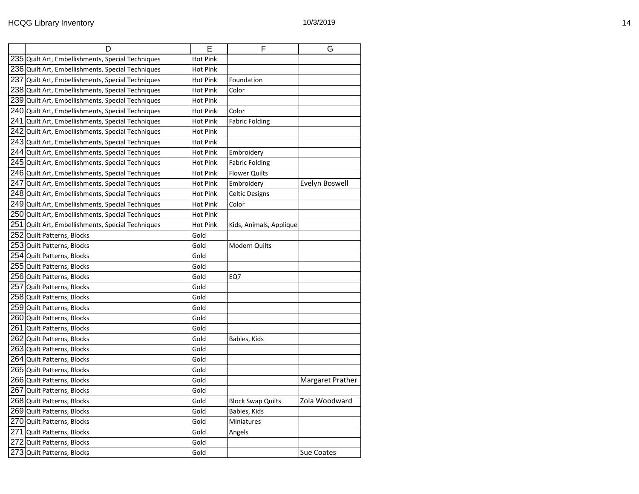| D                                                   | E               | F                        | G                |
|-----------------------------------------------------|-----------------|--------------------------|------------------|
| 235 Quilt Art, Embellishments, Special Techniques   | Hot Pink        |                          |                  |
| 236 Quilt Art, Embellishments, Special Techniques   | <b>Hot Pink</b> |                          |                  |
| 237 Quilt Art, Embellishments, Special Techniques   | <b>Hot Pink</b> | Foundation               |                  |
| 238 Quilt Art, Embellishments, Special Techniques   | <b>Hot Pink</b> | Color                    |                  |
| 239 Quilt Art, Embellishments, Special Techniques   | Hot Pink        |                          |                  |
| 240 Quilt Art, Embellishments, Special Techniques   | <b>Hot Pink</b> | Color                    |                  |
| $241$ Quilt Art, Embellishments, Special Techniques | Hot Pink        | <b>Fabric Folding</b>    |                  |
| 242 Quilt Art, Embellishments, Special Techniques   | <b>Hot Pink</b> |                          |                  |
| 243 Quilt Art, Embellishments, Special Techniques   | Hot Pink        |                          |                  |
| 244 Quilt Art, Embellishments, Special Techniques   | <b>Hot Pink</b> | Embroidery               |                  |
| 245 Quilt Art, Embellishments, Special Techniques   | <b>Hot Pink</b> | <b>Fabric Folding</b>    |                  |
| 246 Quilt Art, Embellishments, Special Techniques   | <b>Hot Pink</b> | <b>Flower Quilts</b>     |                  |
| 247 Quilt Art, Embellishments, Special Techniques   | <b>Hot Pink</b> | Embroidery               | Evelyn Boswell   |
| 248 Quilt Art, Embellishments, Special Techniques   | <b>Hot Pink</b> | <b>Celtic Designs</b>    |                  |
| 249 Quilt Art, Embellishments, Special Techniques   | <b>Hot Pink</b> | Color                    |                  |
| 250 Quilt Art, Embellishments, Special Techniques   | <b>Hot Pink</b> |                          |                  |
| 251 Quilt Art, Embellishments, Special Techniques   | Hot Pink        | Kids, Animals, Applique  |                  |
| 252 Quilt Patterns, Blocks                          | Gold            |                          |                  |
| 253 Quilt Patterns, Blocks                          | Gold            | <b>Modern Quilts</b>     |                  |
| 254 Quilt Patterns, Blocks                          | Gold            |                          |                  |
| 255 Quilt Patterns, Blocks                          | Gold            |                          |                  |
| 256 Quilt Patterns, Blocks                          | Gold            | EQ7                      |                  |
| 257 Quilt Patterns, Blocks                          | Gold            |                          |                  |
| 258 Quilt Patterns, Blocks                          | Gold            |                          |                  |
| 259 Quilt Patterns, Blocks                          | Gold            |                          |                  |
| 260 Quilt Patterns, Blocks                          | Gold            |                          |                  |
| 261 Quilt Patterns, Blocks                          | Gold            |                          |                  |
| 262 Quilt Patterns, Blocks                          | Gold            | Babies, Kids             |                  |
| 263 Quilt Patterns, Blocks                          | Gold            |                          |                  |
| 264 Quilt Patterns, Blocks                          | Gold            |                          |                  |
| 265 Quilt Patterns, Blocks                          | Gold            |                          |                  |
| 266 Quilt Patterns, Blocks                          | Gold            |                          | Margaret Prather |
| 267 Quilt Patterns, Blocks                          | Gold            |                          |                  |
| 268 Quilt Patterns, Blocks                          | Gold            | <b>Block Swap Quilts</b> | Zola Woodward    |
| 269 Quilt Patterns, Blocks                          | Gold            | Babies, Kids             |                  |
| 270 Quilt Patterns, Blocks                          | Gold            | Miniatures               |                  |
| 271 Quilt Patterns, Blocks                          | Gold            | Angels                   |                  |
| 272 Quilt Patterns, Blocks                          | Gold            |                          |                  |
| 273 Quilt Patterns, Blocks                          | Gold            |                          | Sue Coates       |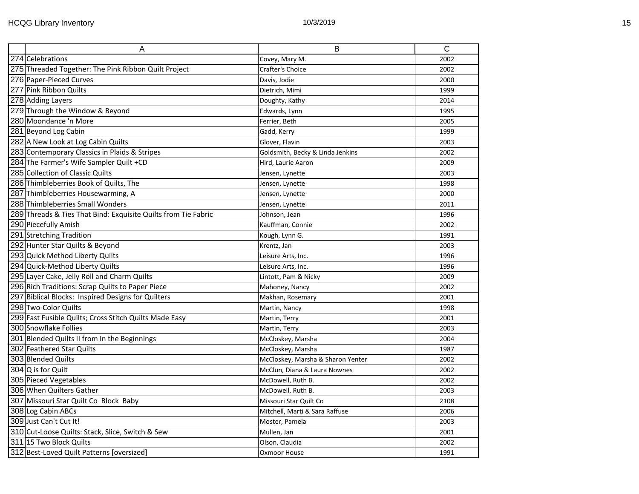| A                                                              | B                                 | $\overline{\text{c}}$ |
|----------------------------------------------------------------|-----------------------------------|-----------------------|
| 274 Celebrations                                               | Covey, Mary M.                    | 2002                  |
| 275 Threaded Together: The Pink Ribbon Quilt Project           | Crafter's Choice                  | 2002                  |
| 276 Paper-Pieced Curves                                        | Davis, Jodie                      | 2000                  |
| 277 Pink Ribbon Quilts                                         | Dietrich, Mimi                    | 1999                  |
| 278 Adding Layers                                              | Doughty, Kathy                    | 2014                  |
| 279 Through the Window & Beyond                                | Edwards, Lynn                     | 1995                  |
| 280 Moondance 'n More                                          | Ferrier, Beth                     | 2005                  |
| 281 Beyond Log Cabin                                           | Gadd, Kerry                       | 1999                  |
| 282 A New Look at Log Cabin Quilts                             | Glover, Flavin                    | 2003                  |
| 283 Contemporary Classics in Plaids & Stripes                  | Goldsmith, Becky & Linda Jenkins  | 2002                  |
| 284 The Farmer's Wife Sampler Quilt +CD                        | Hird, Laurie Aaron                | 2009                  |
| 285 Collection of Classic Quilts                               | Jensen, Lynette                   | 2003                  |
| 286 Thimbleberries Book of Quilts, The                         | Jensen, Lynette                   | 1998                  |
| 287 Thimbleberries Housewarming, A                             | Jensen, Lynette                   | 2000                  |
| 288 Thimbleberries Small Wonders                               | Jensen, Lynette                   | 2011                  |
| 289 Threads & Ties That Bind: Exquisite Quilts from Tie Fabric | Johnson, Jean                     | 1996                  |
| 290 Piecefully Amish                                           | Kauffman, Connie                  | 2002                  |
| 291 Stretching Tradition                                       | Kough, Lynn G.                    | 1991                  |
| 292 Hunter Star Quilts & Beyond                                | Krentz, Jan                       | 2003                  |
| 293 Quick Method Liberty Quilts                                | Leisure Arts, Inc.                | 1996                  |
| 294 Quick-Method Liberty Quilts                                | Leisure Arts, Inc.                | 1996                  |
| 295 Layer Cake, Jelly Roll and Charm Quilts                    | Lintott, Pam & Nicky              | 2009                  |
| 296 Rich Traditions: Scrap Quilts to Paper Piece               | Mahoney, Nancy                    | 2002                  |
| 297 Biblical Blocks: Inspired Designs for Quilters             | Makhan, Rosemary                  | 2001                  |
| 298 Two-Color Quilts                                           | Martin, Nancy                     | 1998                  |
| 299 Fast Fusible Quilts; Cross Stitch Quilts Made Easy         | Martin, Terry                     | 2001                  |
| 300 Snowflake Follies                                          | Martin, Terry                     | 2003                  |
| 301 Blended Quilts II from In the Beginnings                   | McCloskey, Marsha                 | 2004                  |
| 302 Feathered Star Quilts                                      | McCloskey, Marsha                 | 1987                  |
| 303 Blended Quilts                                             | McCloskey, Marsha & Sharon Yenter | 2002                  |
| 304 Q is for Quilt                                             | McClun, Diana & Laura Nownes      | 2002                  |
| 305 Pieced Vegetables                                          | McDowell, Ruth B.                 | 2002                  |
| 306 When Quilters Gather                                       | McDowell, Ruth B.                 | 2003                  |
| 307 Missouri Star Quilt Co Block Baby                          | Missouri Star Quilt Co            | 2108                  |
| 308 Log Cabin ABCs                                             | Mitchell, Marti & Sara Raffuse    | 2006                  |
| 309 Just Can't Cut It!                                         | Moster, Pamela                    | 2003                  |
| 310 Cut-Loose Quilts: Stack, Slice, Switch & Sew               | Mullen, Jan                       | 2001                  |
| 311 15 Two Block Quilts                                        | Olson, Claudia                    | 2002                  |
| 312 Best-Loved Quilt Patterns [oversized]                      | Oxmoor House                      | 1991                  |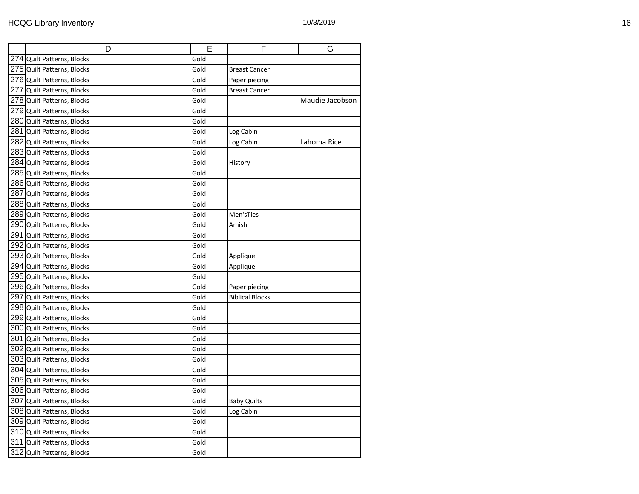| D                          | Е    | F                      | G               |
|----------------------------|------|------------------------|-----------------|
| 274 Quilt Patterns, Blocks | Gold |                        |                 |
| 275 Quilt Patterns, Blocks | Gold | <b>Breast Cancer</b>   |                 |
| 276 Quilt Patterns, Blocks | Gold | Paper piecing          |                 |
| 277 Quilt Patterns, Blocks | Gold | <b>Breast Cancer</b>   |                 |
| 278 Quilt Patterns, Blocks | Gold |                        | Maudie Jacobson |
| 279 Quilt Patterns, Blocks | Gold |                        |                 |
| 280 Quilt Patterns, Blocks | Gold |                        |                 |
| 281 Quilt Patterns, Blocks | Gold | Log Cabin              |                 |
| 282 Quilt Patterns, Blocks | Gold | Log Cabin              | Lahoma Rice     |
| 283 Quilt Patterns, Blocks | Gold |                        |                 |
| 284 Quilt Patterns, Blocks | Gold | History                |                 |
| 285 Quilt Patterns, Blocks | Gold |                        |                 |
| 286 Quilt Patterns, Blocks | Gold |                        |                 |
| 287 Quilt Patterns, Blocks | Gold |                        |                 |
| 288 Quilt Patterns, Blocks | Gold |                        |                 |
| 289 Quilt Patterns, Blocks | Gold | Men'sTies              |                 |
| 290 Quilt Patterns, Blocks | Gold | Amish                  |                 |
| 291 Quilt Patterns, Blocks | Gold |                        |                 |
| 292 Quilt Patterns, Blocks | Gold |                        |                 |
| 293 Quilt Patterns, Blocks | Gold | Applique               |                 |
| 294 Quilt Patterns, Blocks | Gold | Applique               |                 |
| 295 Quilt Patterns, Blocks | Gold |                        |                 |
| 296 Quilt Patterns, Blocks | Gold | Paper piecing          |                 |
| 297 Quilt Patterns, Blocks | Gold | <b>Biblical Blocks</b> |                 |
| 298 Quilt Patterns, Blocks | Gold |                        |                 |
| 299 Quilt Patterns, Blocks | Gold |                        |                 |
| 300 Quilt Patterns, Blocks | Gold |                        |                 |
| 301 Quilt Patterns, Blocks | Gold |                        |                 |
| 302 Quilt Patterns, Blocks | Gold |                        |                 |
| 303 Quilt Patterns, Blocks | Gold |                        |                 |
| 304 Quilt Patterns, Blocks | Gold |                        |                 |
| 305 Quilt Patterns, Blocks | Gold |                        |                 |
| 306 Quilt Patterns, Blocks | Gold |                        |                 |
| 307 Quilt Patterns, Blocks | Gold | <b>Baby Quilts</b>     |                 |
| 308 Quilt Patterns, Blocks | Gold | Log Cabin              |                 |
| 309 Quilt Patterns, Blocks | Gold |                        |                 |
| 310 Quilt Patterns, Blocks | Gold |                        |                 |
| 311 Quilt Patterns, Blocks | Gold |                        |                 |
| 312 Quilt Patterns, Blocks | Gold |                        |                 |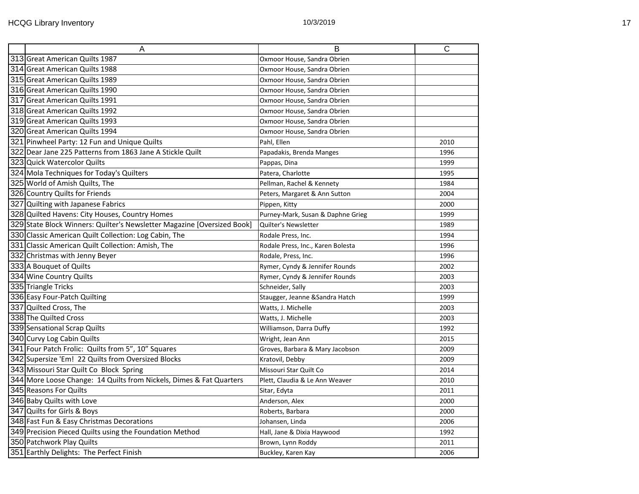| $\overline{A}$                                                          | B                                 | $\overline{\text{c}}$ |
|-------------------------------------------------------------------------|-----------------------------------|-----------------------|
| 313 Great American Quilts 1987                                          | Oxmoor House, Sandra Obrien       |                       |
| 314 Great American Quilts 1988                                          | Oxmoor House, Sandra Obrien       |                       |
| 315 Great American Quilts 1989                                          | Oxmoor House, Sandra Obrien       |                       |
| 316 Great American Quilts 1990                                          | Oxmoor House, Sandra Obrien       |                       |
| 317 Great American Quilts 1991                                          | Oxmoor House, Sandra Obrien       |                       |
| 318 Great American Quilts 1992                                          | Oxmoor House, Sandra Obrien       |                       |
| 319 Great American Quilts 1993                                          | Oxmoor House, Sandra Obrien       |                       |
| 320 Great American Quilts 1994                                          | Oxmoor House, Sandra Obrien       |                       |
| 321 Pinwheel Party: 12 Fun and Unique Quilts                            | Pahl, Ellen                       | 2010                  |
| 322 Dear Jane 225 Patterns from 1863 Jane A Stickle Quilt               | Papadakis, Brenda Manges          | 1996                  |
| 323 Quick Watercolor Quilts                                             | Pappas, Dina                      | 1999                  |
| 324 Mola Techniques for Today's Quilters                                | Patera, Charlotte                 | 1995                  |
| 325 World of Amish Quilts, The                                          | Pellman, Rachel & Kennety         | 1984                  |
| 326 Country Quilts for Friends                                          | Peters, Margaret & Ann Sutton     | 2004                  |
| 327 Quilting with Japanese Fabrics                                      | Pippen, Kitty                     | 2000                  |
| 328 Quilted Havens: City Houses, Country Homes                          | Purney-Mark, Susan & Daphne Grieg | 1999                  |
| 329 State Block Winners: Quilter's Newsletter Magazine [Oversized Book] | <b>Quilter's Newsletter</b>       | 1989                  |
| 330 Classic American Quilt Collection: Log Cabin, The                   | Rodale Press, Inc.                | 1994                  |
| 331 Classic American Quilt Collection: Amish, The                       | Rodale Press, Inc., Karen Bolesta | 1996                  |
| 332 Christmas with Jenny Beyer                                          | Rodale, Press, Inc.               | 1996                  |
| 333 A Bouquet of Quilts                                                 | Rymer, Cyndy & Jennifer Rounds    | 2002                  |
| 334 Wine Country Quilts                                                 | Rymer, Cyndy & Jennifer Rounds    | 2003                  |
| 335 Triangle Tricks                                                     | Schneider, Sally                  | 2003                  |
| 336 Easy Four-Patch Quilting                                            | Staugger, Jeanne & Sandra Hatch   | 1999                  |
| 337 Quilted Cross, The                                                  | Watts, J. Michelle                | 2003                  |
| 338 The Quilted Cross                                                   | Watts, J. Michelle                | 2003                  |
| 339 Sensational Scrap Quilts                                            | Williamson, Darra Duffy           | 1992                  |
| 340 Curvy Log Cabin Quilts                                              | Wright, Jean Ann                  | 2015                  |
| 341 Four Patch Frolic: Quilts from 5", 10" Squares                      | Groves, Barbara & Mary Jacobson   | 2009                  |
| 342 Supersize 'Em! 22 Quilts from Oversized Blocks                      | Kratovil, Debby                   | 2009                  |
| 343 Missouri Star Quilt Co Block Spring                                 | Missouri Star Quilt Co            | 2014                  |
| 344 More Loose Change: 14 Quilts from Nickels, Dimes & Fat Quarters     | Plett, Claudia & Le Ann Weaver    | 2010                  |
| 345 Reasons For Quilts                                                  | Sitar, Edyta                      | 2011                  |
| 346 Baby Quilts with Love                                               | Anderson, Alex                    | 2000                  |
| 347 Quilts for Girls & Boys                                             | Roberts, Barbara                  | 2000                  |
| 348 Fast Fun & Easy Christmas Decorations                               | Johansen, Linda                   | 2006                  |
| 349 Precision Pieced Quilts using the Foundation Method                 | Hall, Jane & Dixia Haywood        | 1992                  |
| 350 Patchwork Play Quilts                                               | Brown, Lynn Roddy                 | 2011                  |
| 351 Earthly Delights: The Perfect Finish                                | Buckley, Karen Kay                | 2006                  |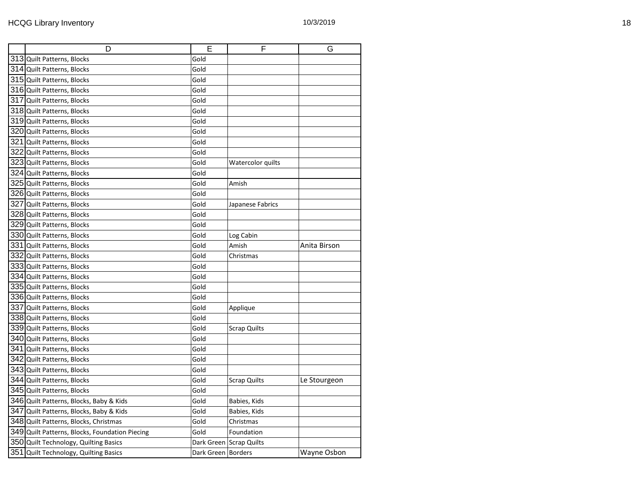| D                                              | E                    | F                       | G            |
|------------------------------------------------|----------------------|-------------------------|--------------|
| 313 Quilt Patterns, Blocks                     | Gold                 |                         |              |
| 314 Quilt Patterns, Blocks                     | Gold                 |                         |              |
| 315 Quilt Patterns, Blocks                     | Gold                 |                         |              |
| 316 Quilt Patterns, Blocks                     | Gold                 |                         |              |
| 317 Quilt Patterns, Blocks                     | Gold                 |                         |              |
| 318 Quilt Patterns, Blocks                     | Gold                 |                         |              |
| 319 Quilt Patterns, Blocks                     | Gold                 |                         |              |
| 320 Quilt Patterns, Blocks                     | Gold                 |                         |              |
| 321 Quilt Patterns, Blocks                     | Gold                 |                         |              |
| 322 Quilt Patterns, Blocks                     | Gold                 |                         |              |
| 323 Quilt Patterns, Blocks                     | Gold                 | Watercolor quilts       |              |
| 324 Quilt Patterns, Blocks                     | Gold                 |                         |              |
| 325 Quilt Patterns, Blocks                     | Gold                 | Amish                   |              |
| 326 Quilt Patterns, Blocks                     | Gold                 |                         |              |
| 327 Quilt Patterns, Blocks                     | Gold                 | Japanese Fabrics        |              |
| 328 Quilt Patterns, Blocks                     | Gold                 |                         |              |
| 329 Quilt Patterns, Blocks                     | Gold                 |                         |              |
| 330 Quilt Patterns, Blocks                     | Gold                 | Log Cabin               |              |
| 331 Quilt Patterns, Blocks                     | Gold                 | Amish                   | Anita Birson |
| 332 Quilt Patterns, Blocks                     | Gold                 | Christmas               |              |
| 333 Quilt Patterns, Blocks                     | Gold                 |                         |              |
| 334 Quilt Patterns, Blocks                     | Gold                 |                         |              |
| 335 Quilt Patterns, Blocks                     | Gold                 |                         |              |
| 336 Quilt Patterns, Blocks                     | Gold                 |                         |              |
| 337 Quilt Patterns, Blocks                     | Gold                 | Applique                |              |
| 338 Quilt Patterns, Blocks                     | Gold                 |                         |              |
| 339 Quilt Patterns, Blocks                     | Gold                 | <b>Scrap Quilts</b>     |              |
| 340 Quilt Patterns, Blocks                     | Gold                 |                         |              |
| 341 Quilt Patterns, Blocks                     | Gold                 |                         |              |
| 342 Quilt Patterns, Blocks                     | Gold                 |                         |              |
| 343 Quilt Patterns, Blocks                     | Gold                 |                         |              |
| 344 Quilt Patterns, Blocks                     | Gold                 | Scrap Quilts            | Le Stourgeon |
| 345 Quilt Patterns, Blocks                     | Gold                 |                         |              |
| 346 Quilt Patterns, Blocks, Baby & Kids        | Gold                 | Babies, Kids            |              |
| 347 Quilt Patterns, Blocks, Baby & Kids        | Gold                 | Babies, Kids            |              |
| 348 Quilt Patterns, Blocks, Christmas          | Gold                 | Christmas               |              |
| 349 Quilt Patterns, Blocks, Foundation Piecing | Gold                 | Foundation              |              |
| 350 Quilt Technology, Quilting Basics          |                      | Dark Green Scrap Quilts |              |
| $351$ Quilt Technology, Quilting Basics        | Dark Green   Borders |                         | Wayne Osbon  |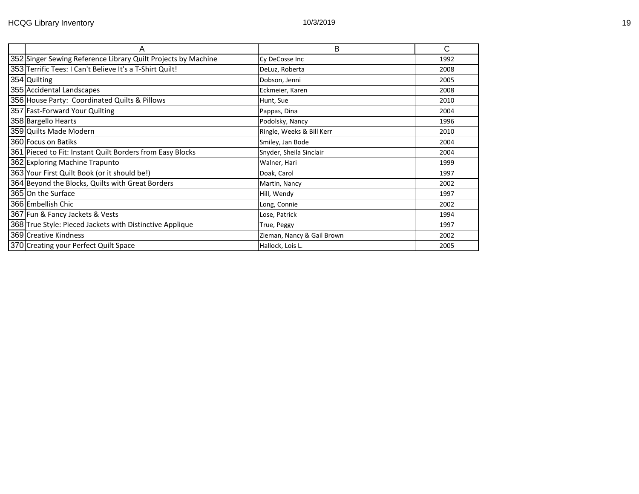| Α                                                             | B                          | C    |
|---------------------------------------------------------------|----------------------------|------|
| 352 Singer Sewing Reference Library Quilt Projects by Machine | Cy DeCosse Inc             | 1992 |
| 353 Terrific Tees: I Can't Believe It's a T-Shirt Quilt!      | DeLuz, Roberta             | 2008 |
| 354 Quilting                                                  | Dobson, Jenni              | 2005 |
| 355 Accidental Landscapes                                     | Eckmeier, Karen            | 2008 |
| 356 House Party: Coordinated Quilts & Pillows                 | Hunt, Sue                  | 2010 |
| 357 Fast-Forward Your Quilting                                | Pappas, Dina               | 2004 |
| 358 Bargello Hearts                                           | Podolsky, Nancy            | 1996 |
| 359 Quilts Made Modern                                        | Ringle, Weeks & Bill Kerr  | 2010 |
| 360 Focus on Batiks                                           | Smiley, Jan Bode           | 2004 |
| 361 Pieced to Fit: Instant Quilt Borders from Easy Blocks     | Snyder, Sheila Sinclair    | 2004 |
| 362 Exploring Machine Trapunto                                | Walner, Hari               | 1999 |
| 363 Your First Quilt Book (or it should be!)                  | Doak, Carol                | 1997 |
| 364 Beyond the Blocks, Quilts with Great Borders              | Martin, Nancy              | 2002 |
| 365 On the Surface                                            | Hill, Wendy                | 1997 |
| 366 Embellish Chic                                            | Long, Connie               | 2002 |
| 367 Fun & Fancy Jackets & Vests                               | Lose, Patrick              | 1994 |
| 368 True Style: Pieced Jackets with Distinctive Applique      | True, Peggy                | 1997 |
| 369 Creative Kindness                                         | Zieman, Nancy & Gail Brown | 2002 |
| 370 Creating your Perfect Quilt Space                         | Hallock, Lois L.           | 2005 |